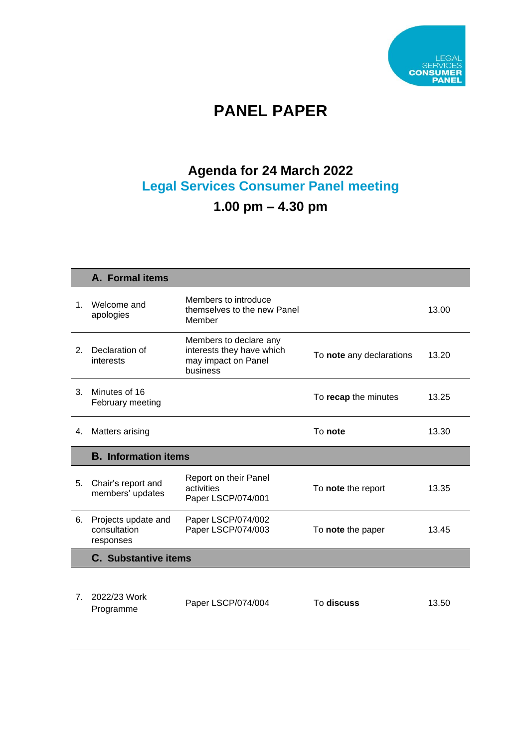

# **PANEL PAPER**

### **Agenda for 24 March 2022 Legal Services Consumer Panel meeting**

## **1.00 pm – 4.30 pm**

|                | A. Formal items                                  |                                                                                        |                          |       |
|----------------|--------------------------------------------------|----------------------------------------------------------------------------------------|--------------------------|-------|
| 1.             | Welcome and<br>apologies                         | Members to introduce<br>themselves to the new Panel<br>Member                          |                          | 13.00 |
| 2 <sub>1</sub> | Declaration of<br>interests                      | Members to declare any<br>interests they have which<br>may impact on Panel<br>business | To note any declarations | 13.20 |
| 3 <sub>1</sub> | Minutes of 16<br>February meeting                |                                                                                        | To recap the minutes     | 13.25 |
| 4.             | <b>Matters arising</b>                           |                                                                                        | To note                  | 13.30 |
|                |                                                  |                                                                                        |                          |       |
|                | <b>B.</b> Information items                      |                                                                                        |                          |       |
| 5.             | Chair's report and<br>members' updates           | Report on their Panel<br>activities<br>Paper LSCP/074/001                              | To note the report       | 13.35 |
| 6.             | Projects update and<br>consultation<br>responses | Paper LSCP/074/002<br>Paper LSCP/074/003                                               | To note the paper        | 13.45 |
|                | <b>C.</b> Substantive items                      |                                                                                        |                          |       |
|                |                                                  |                                                                                        |                          |       |